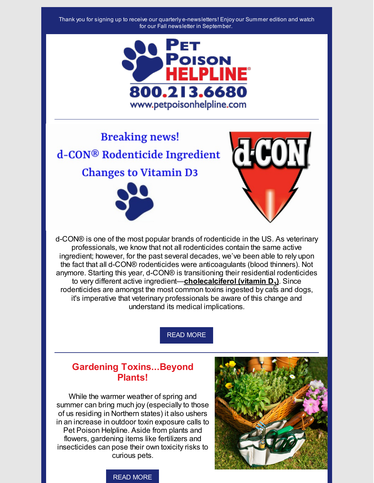

**Breaking news!** d-CON® Rodenticide Ingredient **Changes to Vitamin D3** 





d-CON® is one of the most popular brands of rodenticide in the US. As veterinary professionals, we know that not all rodenticides contain the same active ingredient; however, for the past several decades, we've been able to rely upon the fact that all d-CON® rodenticides were anticoagulants (blood thinners). Not anymore. Starting this year, d-CON® is transitioning their residential rodenticides to very different active ingredient—**cholecalciferol (vitamin D<sup>3</sup> )**. Since rodenticides are amongst the most common toxins ingested by cats and dogs, it's imperative that veterinary professionals be aware of this change and understand its medical implications.

READ [MORE](http://files.constantcontact.com/0927d35e501/bd3fab70-8431-4088-9b8b-838931ae6dc6.pdf)

### **Gardening Toxins...Beyond Plants!**

While the warmer weather of spring and summer can bring much joy (especially to those of us residing in Northern states) it also ushers in an increase in outdoor toxin exposure calls to Pet Poison Helpline. Aside from plants and flowers, gardening items like fertilizers and insecticides can pose their own toxicity risks to curious pets.



### READ [MORE](http://files.constantcontact.com/0927d35e501/9d32118d-d24d-4c5f-9df9-1458d93dbcc7.pdf)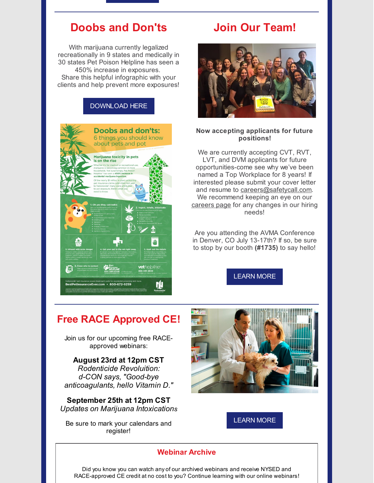## **Doobs and Don'ts**

With marijuana currently legalized recreationally in 9 states and medically in 30 states Pet Poison Helpline has seen a 450% increase in exposures. Share this helpful infographic with your clients and help prevent more exposures!



# **Join Our Team!**



#### **Now accepting applicants for future positions!**

We are currently accepting CVT, RVT, LVT, and DVM applicants for future opportunities-come see why we've been named a Top Workplace for 8 years! If interested please submit your cover letter and resume to [careers@safetycall.com](mailto:careers@safetycall.com). We recommend keeping an eye on our [careers](http://www.petpoisonhelpline.com/veterinarians/job-opportunities/) page for any changes in our hiring needs!

Are you attending the AVMA Conference in Denver, CO July 13-17th? If so, be sure to stop by our booth **(#1735)** to say hello!

[LEARN](http://www.petpoisonhelpline.com/veterinarians/job-opportunities/) MORE

## **Free RACE Approved CE!**

Join us for our upcoming free RACEapproved webinars:

#### **August 23rd at 12pm CST** *Rodenticide Revoluition: d-CON says, "Good-bye anticoagulants, hello Vitamin D."*

**September 25th at 12pm CST** *Updates on Marijuana Intoxications*

Be sure to mark your calendars and register!



[LEARN](http://www.petpoisonhelpline.com/veterinarians/webinars/) MORE

### **Webinar Archive**

Did you know you can watch any of our archived webinars and receive NYSED and RACE-approved CE credit at no cost to you? Continue learning with our online webinars!